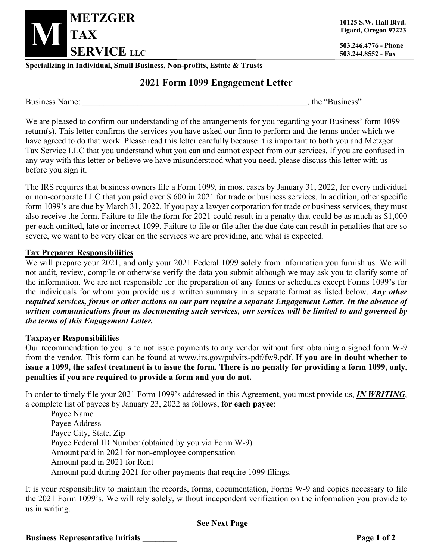

**10125 S.W. Hall Blvd. Tigard, Oregon 97223**

**503.244.8552 - Fax**

**Specializing in Individual, Small Business, Non-profits, Estate & Trusts**

# **2021 Form 1099 Engagement Letter**

Business Name: the "Business" and the "Business" and the "Business" state of the "Business"

We are pleased to confirm our understanding of the arrangements for you regarding your Business' form 1099 return(s). This letter confirms the services you have asked our firm to perform and the terms under which we have agreed to do that work. Please read this letter carefully because it is important to both you and Metzger Tax Service LLC that you understand what you can and cannot expect from our services. If you are confused in any way with this letter or believe we have misunderstood what you need, please discuss this letter with us before you sign it.

The IRS requires that business owners file a Form 1099, in most cases by January 31, 2022, for every individual or non-corporate LLC that you paid over \$ 600 in 2021 for trade or business services. In addition, other specific form 1099's are due by March 31, 2022. If you pay a lawyer corporation for trade or business services, they must also receive the form. Failure to file the form for 2021 could result in a penalty that could be as much as \$1,000 per each omitted, late or incorrect 1099. Failure to file or file after the due date can result in penalties that are so severe, we want to be very clear on the services we are providing, and what is expected.

#### **Tax Preparer Responsibilities**

We will prepare your 2021, and only your 2021 Federal 1099 solely from information you furnish us. We will not audit, review, compile or otherwise verify the data you submit although we may ask you to clarify some of the information. We are not responsible for the preparation of any forms or schedules except Forms 1099's for the individuals for whom you provide us a written summary in a separate format as listed below. *Any other required services, forms or other actions on our part require a separate Engagement Letter. In the absence of written communications from us documenting such services, our services will be limited to and governed by the terms of this Engagement Letter.*

#### **Taxpayer Responsibilities**

Our recommendation to you is to not issue payments to any vendor without first obtaining a signed form W-9 from the vendor. This form can be found at www.irs.gov/pub/irs-pdf/fw9.pdf. **If you are in doubt whether to issue a 1099, the safest treatment is to issue the form. There is no penalty for providing a form 1099, only, penalties if you are required to provide a form and you do not.**

In order to timely file your 2021 Form 1099's addressed in this Agreement, you must provide us, *IN WRITING*, a complete list of payees by January 23, 2022 as follows, **for each payee**:

Payee Name Payee Address Payee City, State, Zip Payee Federal ID Number (obtained by you via Form W-9) Amount paid in 2021 for non-employee compensation Amount paid in 2021 for Rent Amount paid during 2021 for other payments that require 1099 filings.

It is your responsibility to maintain the records, forms, documentation, Forms W-9 and copies necessary to file the 2021 Form 1099's. We will rely solely, without independent verification on the information you provide to us in writing.

## **See Next Page**

**Business Representative Initials \_\_\_\_\_\_\_\_ Page 1 of 2**